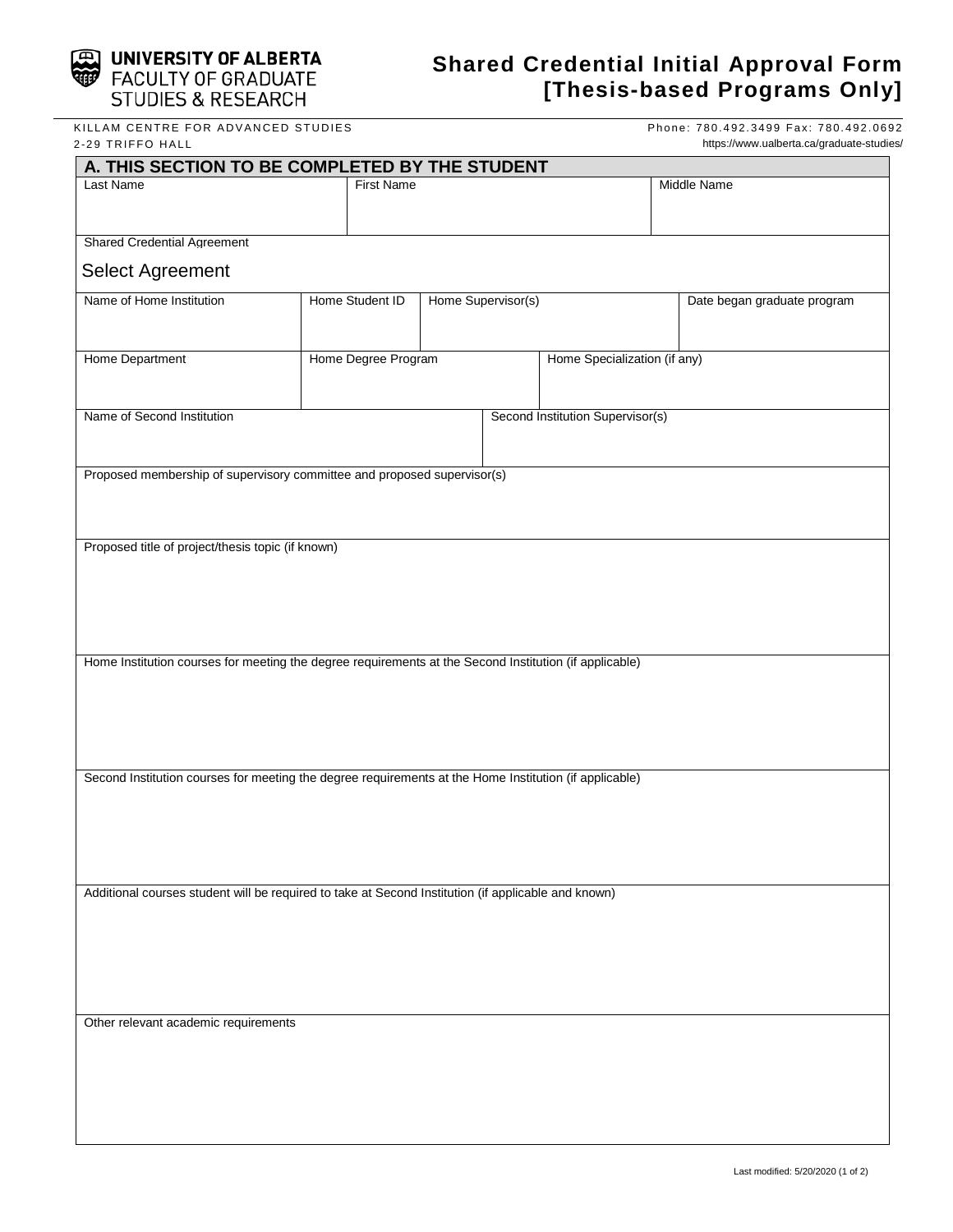

# **UNIVERSITY OF ALBERTA**<br>FACULTY OF GRADUATE **STUDIES & RESEARCH**

## **Shared Credential Initial Approval Form [Thesis-based Programs Only]**

KILLAM CENTRE FOR ADVANCED STUDIES 2 -29 TRIFFO HALL

Phone: 780.492.3499 Fax: 780.492.0692 https://www.ualberta.ca/graduate-studies/

| A. THIS SECTION TO BE COMPLETED BY THE STUDENT                                                         |                     |                              |                                  |                             |  |  |
|--------------------------------------------------------------------------------------------------------|---------------------|------------------------------|----------------------------------|-----------------------------|--|--|
| Last Name                                                                                              |                     | <b>First Name</b>            |                                  | Middle Name                 |  |  |
|                                                                                                        |                     |                              |                                  |                             |  |  |
| <b>Shared Credential Agreement</b>                                                                     |                     |                              |                                  |                             |  |  |
|                                                                                                        |                     |                              |                                  |                             |  |  |
| Select Agreement                                                                                       |                     |                              |                                  |                             |  |  |
| Name of Home Institution                                                                               | Home Student ID     | Home Supervisor(s)           |                                  | Date began graduate program |  |  |
|                                                                                                        |                     |                              |                                  |                             |  |  |
| Home Department                                                                                        | Home Degree Program | Home Specialization (if any) |                                  |                             |  |  |
|                                                                                                        |                     |                              |                                  |                             |  |  |
|                                                                                                        |                     |                              |                                  |                             |  |  |
| Name of Second Institution                                                                             |                     |                              | Second Institution Supervisor(s) |                             |  |  |
|                                                                                                        |                     |                              |                                  |                             |  |  |
| Proposed membership of supervisory committee and proposed supervisor(s)                                |                     |                              |                                  |                             |  |  |
|                                                                                                        |                     |                              |                                  |                             |  |  |
|                                                                                                        |                     |                              |                                  |                             |  |  |
|                                                                                                        |                     |                              |                                  |                             |  |  |
| Proposed title of project/thesis topic (if known)                                                      |                     |                              |                                  |                             |  |  |
|                                                                                                        |                     |                              |                                  |                             |  |  |
|                                                                                                        |                     |                              |                                  |                             |  |  |
|                                                                                                        |                     |                              |                                  |                             |  |  |
|                                                                                                        |                     |                              |                                  |                             |  |  |
| Home Institution courses for meeting the degree requirements at the Second Institution (if applicable) |                     |                              |                                  |                             |  |  |
|                                                                                                        |                     |                              |                                  |                             |  |  |
|                                                                                                        |                     |                              |                                  |                             |  |  |
|                                                                                                        |                     |                              |                                  |                             |  |  |
|                                                                                                        |                     |                              |                                  |                             |  |  |
| Second Institution courses for meeting the degree requirements at the Home Institution (if applicable) |                     |                              |                                  |                             |  |  |
|                                                                                                        |                     |                              |                                  |                             |  |  |
|                                                                                                        |                     |                              |                                  |                             |  |  |
|                                                                                                        |                     |                              |                                  |                             |  |  |
|                                                                                                        |                     |                              |                                  |                             |  |  |
| Additional courses student will be required to take at Second Institution (if applicable and known)    |                     |                              |                                  |                             |  |  |
|                                                                                                        |                     |                              |                                  |                             |  |  |
|                                                                                                        |                     |                              |                                  |                             |  |  |
|                                                                                                        |                     |                              |                                  |                             |  |  |
|                                                                                                        |                     |                              |                                  |                             |  |  |
|                                                                                                        |                     |                              |                                  |                             |  |  |
| Other relevant academic requirements                                                                   |                     |                              |                                  |                             |  |  |
|                                                                                                        |                     |                              |                                  |                             |  |  |
|                                                                                                        |                     |                              |                                  |                             |  |  |
|                                                                                                        |                     |                              |                                  |                             |  |  |
|                                                                                                        |                     |                              |                                  |                             |  |  |